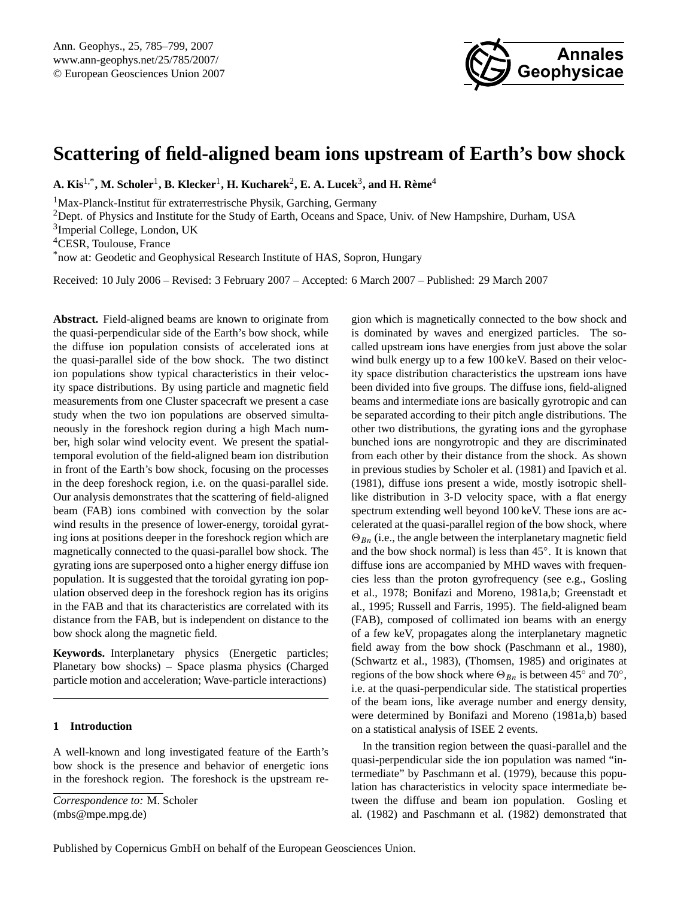

# <span id="page-0-0"></span>**Scattering of field-aligned beam ions upstream of Earth's bow shock**

 $\mathbf{A}.~\mathbf{Kis}^{1,*}, \mathbf{M}.~\mathbf{Scholer}^{1}, \mathbf{B}.~\mathbf{Klecker}^{1}, \mathbf{H}.~\mathbf{Kucharek}^{2}, \mathbf{E}.~\mathbf{A}.~\mathbf{Lucek}^{3}, \mathbf{and}~\mathbf{H}.~\mathbf{Rème}^{4}$ 

 $1$ Max-Planck-Institut für extraterrestrische Physik, Garching, Germany

<sup>2</sup>Dept. of Physics and Institute for the Study of Earth, Oceans and Space, Univ. of New Hampshire, Durham, USA

3 Imperial College, London, UK

<sup>4</sup>CESR, Toulouse, France

\*now at: Geodetic and Geophysical Research Institute of HAS, Sopron, Hungary

Received: 10 July 2006 – Revised: 3 February 2007 – Accepted: 6 March 2007 – Published: 29 March 2007

**Abstract.** Field-aligned beams are known to originate from the quasi-perpendicular side of the Earth's bow shock, while the diffuse ion population consists of accelerated ions at the quasi-parallel side of the bow shock. The two distinct ion populations show typical characteristics in their velocity space distributions. By using particle and magnetic field measurements from one Cluster spacecraft we present a case study when the two ion populations are observed simultaneously in the foreshock region during a high Mach number, high solar wind velocity event. We present the spatialtemporal evolution of the field-aligned beam ion distribution in front of the Earth's bow shock, focusing on the processes in the deep foreshock region, i.e. on the quasi-parallel side. Our analysis demonstrates that the scattering of field-aligned beam (FAB) ions combined with convection by the solar wind results in the presence of lower-energy, toroidal gyrating ions at positions deeper in the foreshock region which are magnetically connected to the quasi-parallel bow shock. The gyrating ions are superposed onto a higher energy diffuse ion population. It is suggested that the toroidal gyrating ion population observed deep in the foreshock region has its origins in the FAB and that its characteristics are correlated with its distance from the FAB, but is independent on distance to the bow shock along the magnetic field.

**Keywords.** Interplanetary physics (Energetic particles; Planetary bow shocks) – Space plasma physics (Charged particle motion and acceleration; Wave-particle interactions)

### **1 Introduction**

A well-known and long investigated feature of the Earth's bow shock is the presence and behavior of energetic ions in the foreshock region. The foreshock is the upstream region which is magnetically connected to the bow shock and is dominated by waves and energized particles. The socalled upstream ions have energies from just above the solar wind bulk energy up to a few 100 keV. Based on their velocity space distribution characteristics the upstream ions have been divided into five groups. The diffuse ions, field-aligned beams and intermediate ions are basically gyrotropic and can be separated according to their pitch angle distributions. The other two distributions, the gyrating ions and the gyrophase bunched ions are nongyrotropic and they are discriminated from each other by their distance from the shock. As shown in previous studies by [Scholer et al.](#page-14-0) [\(1981\)](#page-14-0) and [Ipavich et al.](#page-13-0) [\(1981\)](#page-13-0), diffuse ions present a wide, mostly isotropic shelllike distribution in 3-D velocity space, with a flat energy spectrum extending well beyond 100 keV. These ions are accelerated at the quasi-parallel region of the bow shock, where  $\Theta_{Bn}$  (i.e., the angle between the interplanetary magnetic field and the bow shock normal) is less than 45◦ . It is known that diffuse ions are accompanied by MHD waves with frequencies less than the proton gyrofrequency (see e.g., [Gosling](#page-13-1) [et al.,](#page-13-1) [1978;](#page-13-1) [Bonifazi and Moreno,](#page-13-2) [1981a](#page-13-2)[,b;](#page-13-3) [Greenstadt et](#page-13-4) [al.,](#page-13-4) [1995;](#page-13-4) [Russell and Farris,](#page-14-1) [1995\)](#page-14-1). The field-aligned beam (FAB), composed of collimated ion beams with an energy of a few keV, propagates along the interplanetary magnetic field away from the bow shock [\(Paschmann et al.,](#page-14-2) [1980\)](#page-14-2), [\(Schwartz et al.,](#page-14-3) [1983\)](#page-14-3), [\(Thomsen,](#page-14-4) [1985\)](#page-14-4) and originates at regions of the bow shock where  $\Theta_{Bn}$  is between 45° and 70°, i.e. at the quasi-perpendicular side. The statistical properties of the beam ions, like average number and energy density, were determined by [Bonifazi and Moreno](#page-13-2) [\(1981a,](#page-13-2)[b\)](#page-13-3) based on a statistical analysis of ISEE 2 events.

In the transition region between the quasi-parallel and the quasi-perpendicular side the ion population was named "intermediate" by [Paschmann et al.](#page-14-5) [\(1979\)](#page-14-5), because this population has characteristics in velocity space intermediate between the diffuse and beam ion population. [Gosling et](#page-13-5) [al.](#page-13-5) [\(1982\)](#page-13-5) and [Paschmann et al.](#page-14-6) [\(1982\)](#page-14-6) demonstrated that

*Correspondence to:* M. Scholer (mbs@mpe.mpg.de)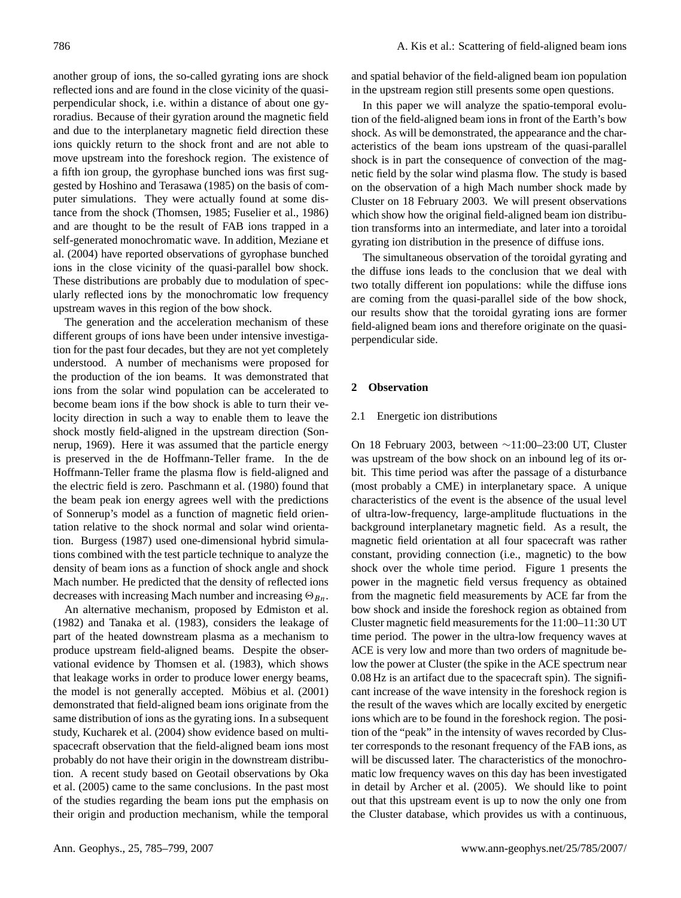another group of ions, the so-called gyrating ions are shock reflected ions and are found in the close vicinity of the quasiperpendicular shock, i.e. within a distance of about one gyroradius. Because of their gyration around the magnetic field and due to the interplanetary magnetic field direction these ions quickly return to the shock front and are not able to move upstream into the foreshock region. The existence of a fifth ion group, the gyrophase bunched ions was first suggested by [Hoshino and Terasawa](#page-13-6) [\(1985\)](#page-13-6) on the basis of computer simulations. They were actually found at some distance from the shock [\(Thomsen,](#page-14-4) [1985;](#page-14-4) [Fuselier et al.,](#page-13-7) [1986\)](#page-13-7) and are thought to be the result of FAB ions trapped in a self-generated monochromatic wave. In addition, [Meziane et](#page-13-8) [al.](#page-13-8) [\(2004\)](#page-13-8) have reported observations of gyrophase bunched ions in the close vicinity of the quasi-parallel bow shock. These distributions are probably due to modulation of specularly reflected ions by the monochromatic low frequency upstream waves in this region of the bow shock.

The generation and the acceleration mechanism of these different groups of ions have been under intensive investigation for the past four decades, but they are not yet completely understood. A number of mechanisms were proposed for the production of the ion beams. It was demonstrated that ions from the solar wind population can be accelerated to become beam ions if the bow shock is able to turn their velocity direction in such a way to enable them to leave the shock mostly field-aligned in the upstream direction [\(Son](#page-14-7)[nerup,](#page-14-7) [1969\)](#page-14-7). Here it was assumed that the particle energy is preserved in the de Hoffmann-Teller frame. In the de Hoffmann-Teller frame the plasma flow is field-aligned and the electric field is zero. [Paschmann et al.](#page-14-2) [\(1980\)](#page-14-2) found that the beam peak ion energy agrees well with the predictions of Sonnerup's model as a function of magnetic field orientation relative to the shock normal and solar wind orientation. [Burgess](#page-13-9) [\(1987\)](#page-13-9) used one-dimensional hybrid simulations combined with the test particle technique to analyze the density of beam ions as a function of shock angle and shock Mach number. He predicted that the density of reflected ions decreases with increasing Mach number and increasing  $\Theta_{Bn}$ .

An alternative mechanism, proposed by [Edmiston et al.](#page-13-10) [\(1982\)](#page-13-10) and [Tanaka et al.](#page-14-8) [\(1983\)](#page-14-8), considers the leakage of part of the heated downstream plasma as a mechanism to produce upstream field-aligned beams. Despite the observational evidence by [Thomsen et al.](#page-14-9) [\(1983\)](#page-14-9), which shows that leakage works in order to produce lower energy beams, the model is not generally accepted. Möbius et al. [\(2001\)](#page-14-10) demonstrated that field-aligned beam ions originate from the same distribution of ions as the gyrating ions. In a subsequent study, [Kucharek et al.](#page-13-11) [\(2004\)](#page-13-11) show evidence based on multispacecraft observation that the field-aligned beam ions most probably do not have their origin in the downstream distribution. A recent study based on Geotail observations by [Oka](#page-14-11) [et al.](#page-14-11) [\(2005\)](#page-14-11) came to the same conclusions. In the past most of the studies regarding the beam ions put the emphasis on their origin and production mechanism, while the temporal

and spatial behavior of the field-aligned beam ion population in the upstream region still presents some open questions.

In this paper we will analyze the spatio-temporal evolution of the field-aligned beam ions in front of the Earth's bow shock. As will be demonstrated, the appearance and the characteristics of the beam ions upstream of the quasi-parallel shock is in part the consequence of convection of the magnetic field by the solar wind plasma flow. The study is based on the observation of a high Mach number shock made by Cluster on 18 February 2003. We will present observations which show how the original field-aligned beam ion distribution transforms into an intermediate, and later into a toroidal gyrating ion distribution in the presence of diffuse ions.

The simultaneous observation of the toroidal gyrating and the diffuse ions leads to the conclusion that we deal with two totally different ion populations: while the diffuse ions are coming from the quasi-parallel side of the bow shock, our results show that the toroidal gyrating ions are former field-aligned beam ions and therefore originate on the quasiperpendicular side.

## **2 Observation**

## 2.1 Energetic ion distributions

On 18 February 2003, between ∼11:00–23:00 UT, Cluster was upstream of the bow shock on an inbound leg of its orbit. This time period was after the passage of a disturbance (most probably a CME) in interplanetary space. A unique characteristics of the event is the absence of the usual level of ultra-low-frequency, large-amplitude fluctuations in the background interplanetary magnetic field. As a result, the magnetic field orientation at all four spacecraft was rather constant, providing connection (i.e., magnetic) to the bow shock over the whole time period. Figure 1 presents the power in the magnetic field versus frequency as obtained from the magnetic field measurements by ACE far from the bow shock and inside the foreshock region as obtained from Cluster magnetic field measurements for the 11:00–11:30 UT time period. The power in the ultra-low frequency waves at ACE is very low and more than two orders of magnitude below the power at Cluster (the spike in the ACE spectrum near 0.08 Hz is an artifact due to the spacecraft spin). The significant increase of the wave intensity in the foreshock region is the result of the waves which are locally excited by energetic ions which are to be found in the foreshock region. The position of the "peak" in the intensity of waves recorded by Cluster corresponds to the resonant frequency of the FAB ions, as will be discussed later. The characteristics of the monochromatic low frequency waves on this day has been investigated in detail by [Archer et al.](#page-13-12) [\(2005\)](#page-13-12). We should like to point out that this upstream event is up to now the only one from the Cluster database, which provides us with a continuous,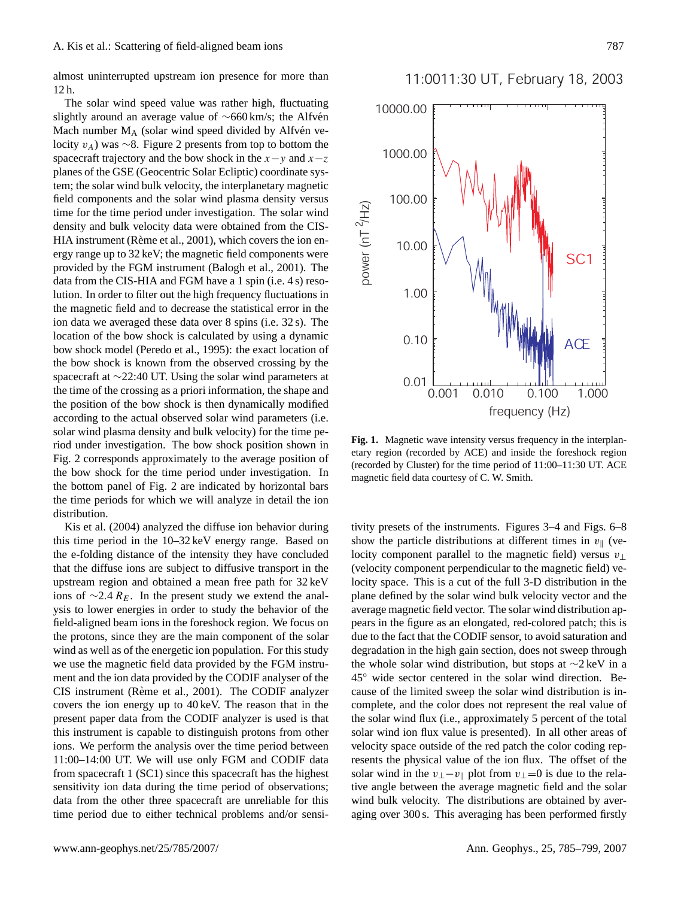almost uninterrupted upstream ion presence for more than 12 h.

The solar wind speed value was rather high, fluctuating slightly around an average value of ~660 km/s; the Alfvén Mach number  $M_A$  (solar wind speed divided by Alfvén velocity vA) was ∼8. Figure 2 presents from top to bottom the spacecraft trajectory and the bow shock in the  $x-y$  and  $x-z$ planes of the GSE (Geocentric Solar Ecliptic) coordinate system; the solar wind bulk velocity, the interplanetary magnetic field components and the solar wind plasma density versus time for the time period under investigation. The solar wind density and bulk velocity data were obtained from the CIS-HIA instrument (Rème et al., [2001\)](#page-14-12), which covers the ion energy range up to 32 keV; the magnetic field components were provided by the FGM instrument [\(Balogh et al.,](#page-13-13) [2001\)](#page-13-13). The data from the CIS-HIA and FGM have a 1 spin (i.e. 4 s) resolution. In order to filter out the high frequency fluctuations in the magnetic field and to decrease the statistical error in the ion data we averaged these data over 8 spins (i.e. 32 s). The location of the bow shock is calculated by using a dynamic bow shock model [\(Peredo et al.,](#page-14-13) [1995\)](#page-14-13): the exact location of the bow shock is known from the observed crossing by the spacecraft at ∼22:40 UT. Using the solar wind parameters at the time of the crossing as a priori information, the shape and the position of the bow shock is then dynamically modified according to the actual observed solar wind parameters (i.e. solar wind plasma density and bulk velocity) for the time period under investigation. The bow shock position shown in Fig. 2 corresponds approximately to the average position of the bow shock for the time period under investigation. In the bottom panel of Fig. 2 are indicated by horizontal bars the time periods for which we will analyze in detail the ion distribution.

[Kis et al.](#page-13-14) [\(2004\)](#page-13-14) analyzed the diffuse ion behavior during this time period in the 10–32 keV energy range. Based on the e-folding distance of the intensity they have concluded that the diffuse ions are subject to diffusive transport in the upstream region and obtained a mean free path for 32 keV ions of  $\sim$ 2.4  $R_E$ . In the present study we extend the analysis to lower energies in order to study the behavior of the field-aligned beam ions in the foreshock region. We focus on the protons, since they are the main component of the solar wind as well as of the energetic ion population. For this study we use the magnetic field data provided by the FGM instrument and the ion data provided by the CODIF analyser of the CIS instrument (Rème et al., [2001\)](#page-14-12). The CODIF analyzer covers the ion energy up to 40 keV. The reason that in the present paper data from the CODIF analyzer is used is that this instrument is capable to distinguish protons from other ions. We perform the analysis over the time period between 11:00–14:00 UT. We will use only FGM and CODIF data from spacecraft 1 (SC1) since this spacecraft has the highest sensitivity ion data during the time period of observations; data from the other three spacecraft are unreliable for this time period due to either technical problems and/or sensi-





**Fig. 1.** Magnetic wave intensity versus frequency in the interplanetary region (recorded by ACE) and inside the foreshock region (recorded by Cluster) for the time period of 11:00–11:30 UT. ACE magnetic field data courtesy of C. W. Smith.

tivity presets of the instruments. Figures 3–4 and Figs. 6–8 show the particle distributions at different times in  $v_{\parallel}$  (velocity component parallel to the magnetic field) versus  $v_{\perp}$ (velocity component perpendicular to the magnetic field) velocity space. This is a cut of the full 3-D distribution in the plane defined by the solar wind bulk velocity vector and the average magnetic field vector. The solar wind distribution appears in the figure as an elongated, red-colored patch; this is due to the fact that the CODIF sensor, to avoid saturation and degradation in the high gain section, does not sweep through the whole solar wind distribution, but stops at ∼2 keV in a 45◦ wide sector centered in the solar wind direction. Because of the limited sweep the solar wind distribution is incomplete, and the color does not represent the real value of the solar wind flux (i.e., approximately 5 percent of the total solar wind ion flux value is presented). In all other areas of velocity space outside of the red patch the color coding represents the physical value of the ion flux. The offset of the solar wind in the  $v_{\perp}-v_{\parallel}$  plot from  $v_{\perp}=0$  is due to the relative angle between the average magnetic field and the solar wind bulk velocity. The distributions are obtained by averaging over 300 s. This averaging has been performed firstly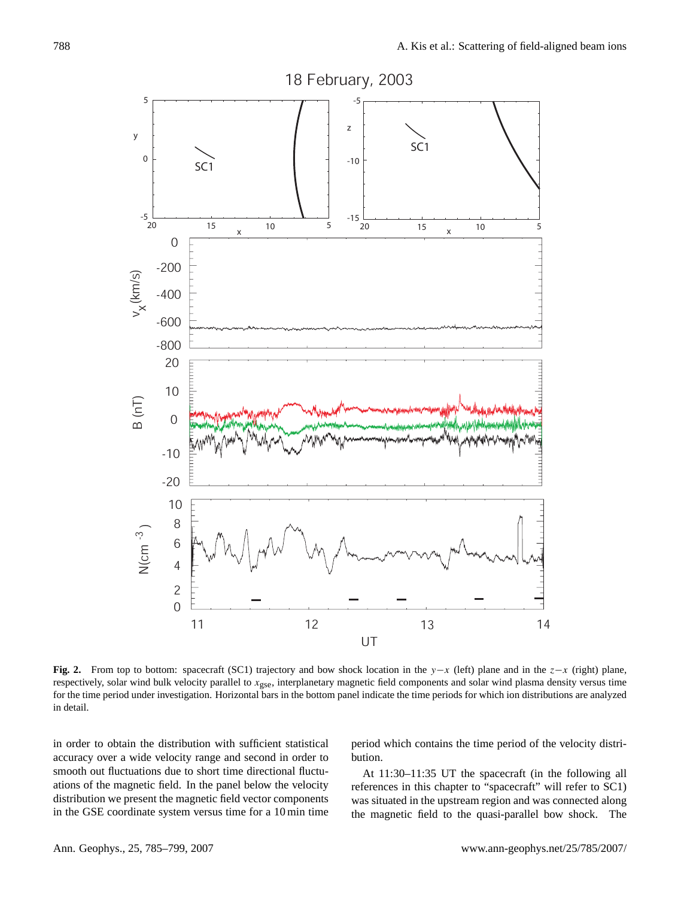

**Fig. 2.** From top to bottom: spacecraft (SC1) trajectory and bow shock location in the y−x (left) plane and in the z−x (right) plane, respectively, solar wind bulk velocity parallel to x<sub>gse</sub>, interplanetary magnetic field components and solar wind plasma density versus time for the time period under investigation. Horizontal bars in the bottom panel indicate the time periods for which ion distributions are analyzed in detail.

in order to obtain the distribution with sufficient statistical accuracy over a wide velocity range and second in order to smooth out fluctuations due to short time directional fluctuations of the magnetic field. In the panel below the velocity distribution we present the magnetic field vector components in the GSE coordinate system versus time for a 10 min time

period which contains the time period of the velocity distribution.

At 11:30–11:35 UT the spacecraft (in the following all references in this chapter to "spacecraft" will refer to SC1) was situated in the upstream region and was connected along the magnetic field to the quasi-parallel bow shock. The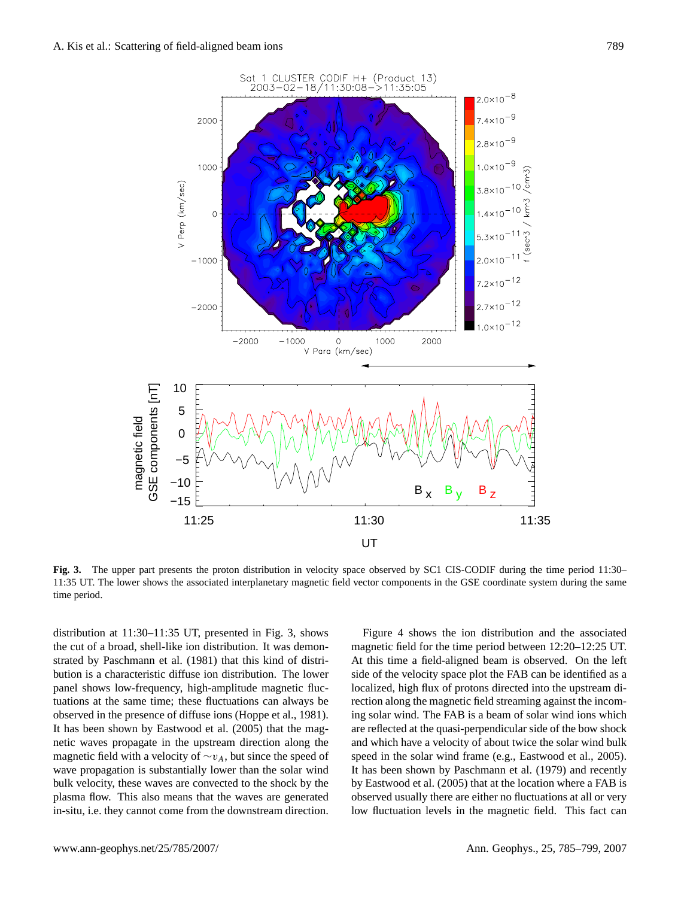

**Fig. 3.** The upper part presents the proton distribution in velocity space observed by SC1 CIS-CODIF during the time period 11:30– 11:35 UT. The lower shows the associated interplanetary magnetic field vector components in the GSE coordinate system during the same time period.

distribution at 11:30–11:35 UT, presented in Fig. 3, shows the cut of a broad, shell-like ion distribution. It was demonstrated by [Paschmann et al.](#page-14-14) [\(1981\)](#page-14-14) that this kind of distribution is a characteristic diffuse ion distribution. The lower panel shows low-frequency, high-amplitude magnetic fluctuations at the same time; these fluctuations can always be observed in the presence of diffuse ions [\(Hoppe et al.,](#page-13-15) [1981\)](#page-13-15). It has been shown by [Eastwood et al.](#page-13-16) [\(2005\)](#page-13-16) that the magnetic waves propagate in the upstream direction along the magnetic field with a velocity of  $\sim v_A$ , but since the speed of wave propagation is substantially lower than the solar wind bulk velocity, these waves are convected to the shock by the plasma flow. This also means that the waves are generated in-situ, i.e. they cannot come from the downstream direction.

Figure 4 shows the ion distribution and the associated magnetic field for the time period between 12:20–12:25 UT. At this time a field-aligned beam is observed. On the left side of the velocity space plot the FAB can be identified as a localized, high flux of protons directed into the upstream direction along the magnetic field streaming against the incoming solar wind. The FAB is a beam of solar wind ions which are reflected at the quasi-perpendicular side of the bow shock and which have a velocity of about twice the solar wind bulk speed in the solar wind frame (e.g., Eastwood et al., 2005). It has been shown by [Paschmann et al.](#page-14-5) [\(1979\)](#page-14-5) and recently by Eastwood et al. (2005) that at the location where a FAB is observed usually there are either no fluctuations at all or very low fluctuation levels in the magnetic field. This fact can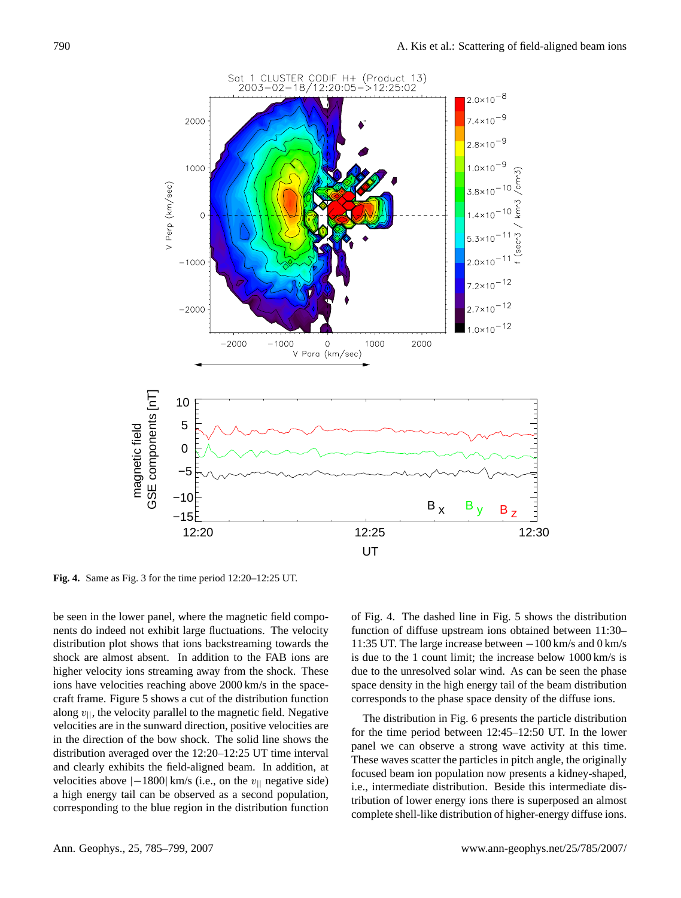

**Fig. 4.** Same as Fig. 3 for the time period 12:20–12:25 UT.

be seen in the lower panel, where the magnetic field components do indeed not exhibit large fluctuations. The velocity distribution plot shows that ions backstreaming towards the shock are almost absent. In addition to the FAB ions are higher velocity ions streaming away from the shock. These ions have velocities reaching above 2000 km/s in the spacecraft frame. Figure 5 shows a cut of the distribution function along  $v_{\parallel}$ , the velocity parallel to the magnetic field. Negative velocities are in the sunward direction, positive velocities are in the direction of the bow shock. The solid line shows the distribution averaged over the 12:20–12:25 UT time interval and clearly exhibits the field-aligned beam. In addition, at velocities above  $|-1800|$  km/s (i.e., on the  $v_{\parallel}$  negative side) a high energy tail can be observed as a second population, corresponding to the blue region in the distribution function of Fig. 4. The dashed line in Fig. 5 shows the distribution function of diffuse upstream ions obtained between 11:30– 11:35 UT. The large increase between −100 km/s and 0 km/s is due to the 1 count limit; the increase below 1000 km/s is due to the unresolved solar wind. As can be seen the phase space density in the high energy tail of the beam distribution corresponds to the phase space density of the diffuse ions.

The distribution in Fig. 6 presents the particle distribution for the time period between 12:45–12:50 UT. In the lower panel we can observe a strong wave activity at this time. These waves scatter the particles in pitch angle, the originally focused beam ion population now presents a kidney-shaped, i.e., intermediate distribution. Beside this intermediate distribution of lower energy ions there is superposed an almost complete shell-like distribution of higher-energy diffuse ions.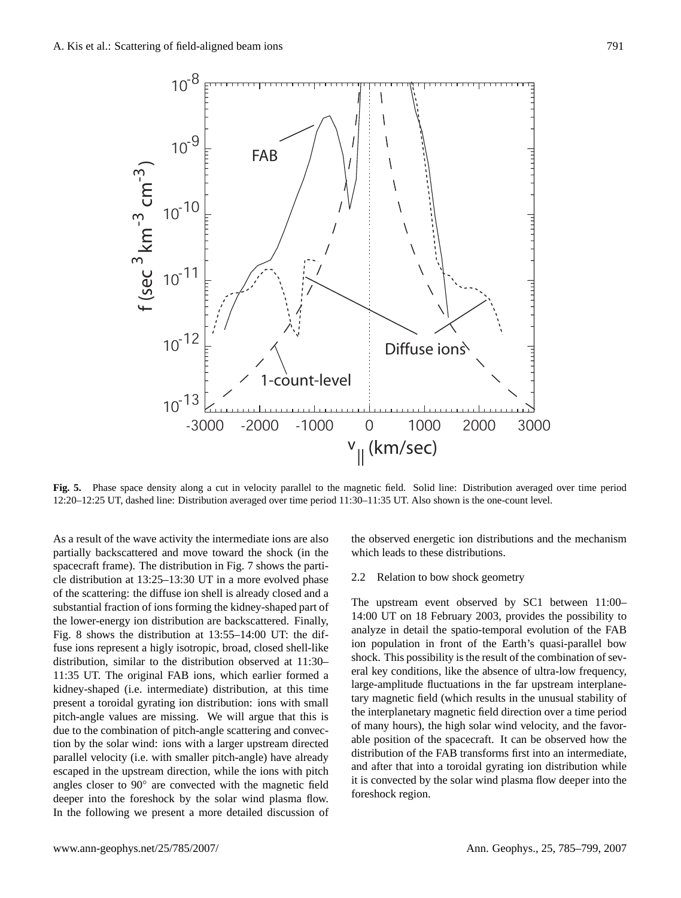

**Fig. 5.** Phase space density along a cut in velocity parallel to the magnetic field. Solid line: Distribution averaged over time period 12:20–12:25 UT, dashed line: Distribution averaged over time period 11:30–11:35 UT. Also shown is the one-count level.

As a result of the wave activity the intermediate ions are also partially backscattered and move toward the shock (in the spacecraft frame). The distribution in Fig. 7 shows the particle distribution at 13:25–13:30 UT in a more evolved phase of the scattering: the diffuse ion shell is already closed and a substantial fraction of ions forming the kidney-shaped part of the lower-energy ion distribution are backscattered. Finally, Fig. 8 shows the distribution at 13:55–14:00 UT: the diffuse ions represent a higly isotropic, broad, closed shell-like distribution, similar to the distribution observed at 11:30– 11:35 UT. The original FAB ions, which earlier formed a kidney-shaped (i.e. intermediate) distribution, at this time present a toroidal gyrating ion distribution: ions with small pitch-angle values are missing. We will argue that this is due to the combination of pitch-angle scattering and convection by the solar wind: ions with a larger upstream directed parallel velocity (i.e. with smaller pitch-angle) have already escaped in the upstream direction, while the ions with pitch angles closer to 90◦ are convected with the magnetic field deeper into the foreshock by the solar wind plasma flow. In the following we present a more detailed discussion of the observed energetic ion distributions and the mechanism which leads to these distributions.

## 2.2 Relation to bow shock geometry

The upstream event observed by SC1 between 11:00– 14:00 UT on 18 February 2003, provides the possibility to analyze in detail the spatio-temporal evolution of the FAB ion population in front of the Earth's quasi-parallel bow shock. This possibility is the result of the combination of several key conditions, like the absence of ultra-low frequency, large-amplitude fluctuations in the far upstream interplanetary magnetic field (which results in the unusual stability of the interplanetary magnetic field direction over a time period of many hours), the high solar wind velocity, and the favorable position of the spacecraft. It can be observed how the distribution of the FAB transforms first into an intermediate, and after that into a toroidal gyrating ion distribution while it is convected by the solar wind plasma flow deeper into the foreshock region.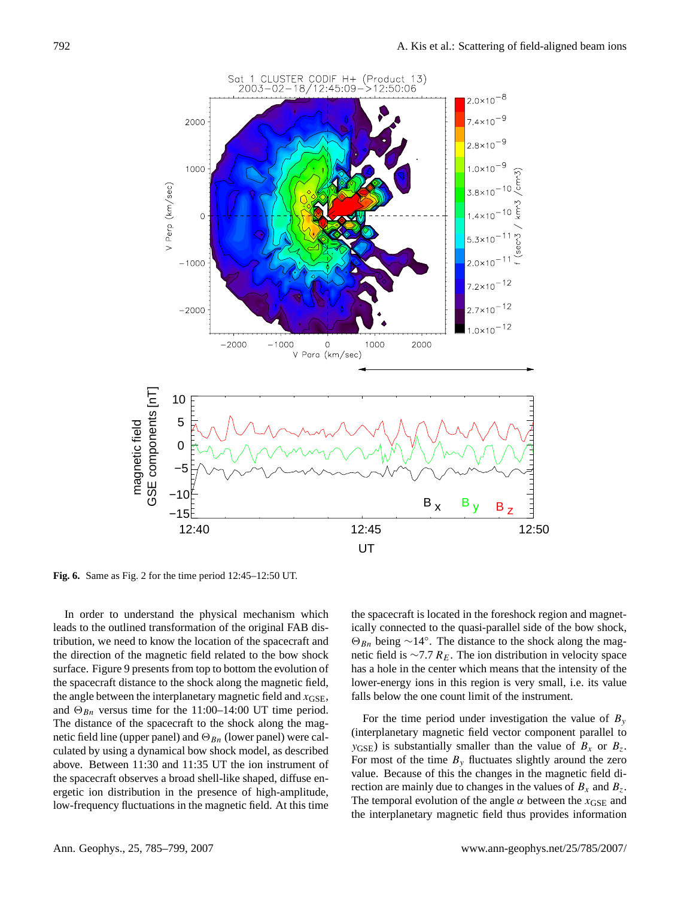

**Fig. 6.** Same as Fig. 2 for the time period 12:45–12:50 UT.

In order to understand the physical mechanism which leads to the outlined transformation of the original FAB distribution, we need to know the location of the spacecraft and the direction of the magnetic field related to the bow shock surface. Figure 9 presents from top to bottom the evolution of the spacecraft distance to the shock along the magnetic field, the angle between the interplanetary magnetic field and  $x_{GSE}$ , and  $\Theta_{Bn}$  versus time for the 11:00–14:00 UT time period. The distance of the spacecraft to the shock along the magnetic field line (upper panel) and  $\Theta_{Bn}$  (lower panel) were calculated by using a dynamical bow shock model, as described above. Between 11:30 and 11:35 UT the ion instrument of the spacecraft observes a broad shell-like shaped, diffuse energetic ion distribution in the presence of high-amplitude, low-frequency fluctuations in the magnetic field. At this time the spacecraft is located in the foreshock region and magnetically connected to the quasi-parallel side of the bow shock,  $\Theta_{Bn}$  being ∼14°. The distance to the shock along the magnetic field is  $\sim$ 7.7  $R_E$ . The ion distribution in velocity space has a hole in the center which means that the intensity of the lower-energy ions in this region is very small, i.e. its value falls below the one count limit of the instrument.

For the time period under investigation the value of  $B_y$ (interplanetary magnetic field vector component parallel to  $y_{\text{GSE}}$ ) is substantially smaller than the value of  $B_x$  or  $B_z$ . For most of the time  $B<sub>y</sub>$  fluctuates slightly around the zero value. Because of this the changes in the magnetic field direction are mainly due to changes in the values of  $B_x$  and  $B_z$ . The temporal evolution of the angle  $\alpha$  between the  $x_{\text{GSE}}$  and the interplanetary magnetic field thus provides information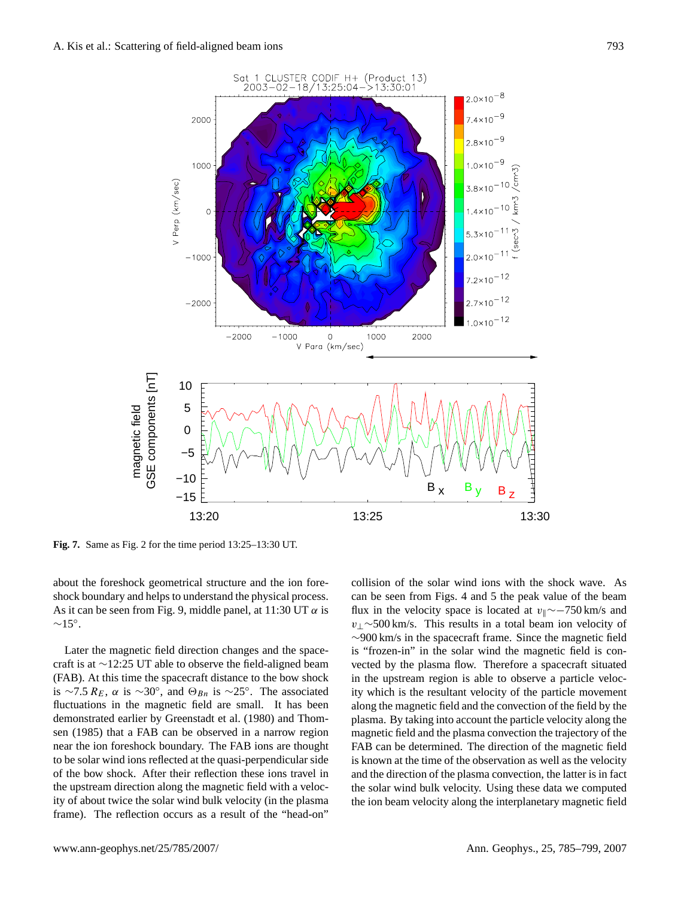

**Fig. 7.** Same as Fig. 2 for the time period 13:25–13:30 UT.

about the foreshock geometrical structure and the ion foreshock boundary and helps to understand the physical process. As it can be seen from Fig. 9, middle panel, at 11:30 UT  $\alpha$  is  $~\sim$ 15°.

Later the magnetic field direction changes and the spacecraft is at ∼12:25 UT able to observe the field-aligned beam (FAB). At this time the spacecraft distance to the bow shock is ~7.5  $R_E$ ,  $\alpha$  is ~30°, and  $\Theta_{Bn}$  is ~25°. The associated fluctuations in the magnetic field are small. It has been demonstrated earlier by [Greenstadt et al.](#page-13-17) [\(1980\)](#page-13-17) and [Thom](#page-14-4)[sen](#page-14-4) [\(1985\)](#page-14-4) that a FAB can be observed in a narrow region near the ion foreshock boundary. The FAB ions are thought to be solar wind ions reflected at the quasi-perpendicular side of the bow shock. After their reflection these ions travel in the upstream direction along the magnetic field with a velocity of about twice the solar wind bulk velocity (in the plasma frame). The reflection occurs as a result of the "head-on"

collision of the solar wind ions with the shock wave. As can be seen from Figs. 4 and 5 the peak value of the beam flux in the velocity space is located at  $v_{\parallel} \sim$ −750 km/s and  $v_1 \sim 500$  km/s. This results in a total beam ion velocity of ∼900 km/s in the spacecraft frame. Since the magnetic field is "frozen-in" in the solar wind the magnetic field is convected by the plasma flow. Therefore a spacecraft situated in the upstream region is able to observe a particle velocity which is the resultant velocity of the particle movement along the magnetic field and the convection of the field by the plasma. By taking into account the particle velocity along the magnetic field and the plasma convection the trajectory of the FAB can be determined. The direction of the magnetic field is known at the time of the observation as well as the velocity and the direction of the plasma convection, the latter is in fact the solar wind bulk velocity. Using these data we computed the ion beam velocity along the interplanetary magnetic field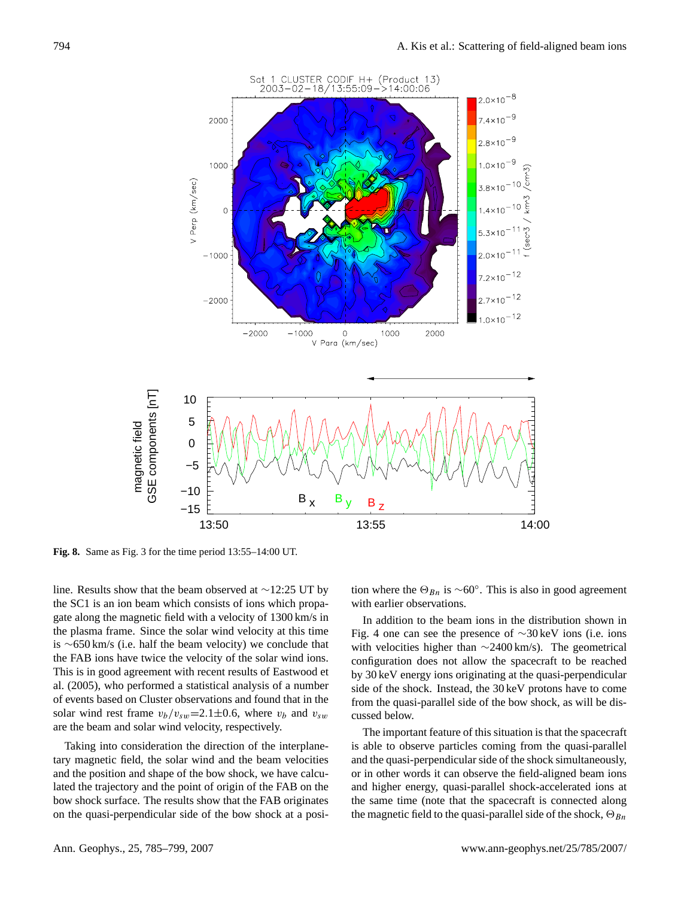

**Fig. 8.** Same as Fig. 3 for the time period 13:55–14:00 UT.

line. Results show that the beam observed at ∼12:25 UT by the SC1 is an ion beam which consists of ions which propagate along the magnetic field with a velocity of 1300 km/s in the plasma frame. Since the solar wind velocity at this time is ∼650 km/s (i.e. half the beam velocity) we conclude that the FAB ions have twice the velocity of the solar wind ions. This is in good agreement with recent results of Eastwood et al. (2005), who performed a statistical analysis of a number of events based on Cluster observations and found that in the solar wind rest frame  $v_b/v_{sw}=2.1\pm0.6$ , where  $v_b$  and  $v_{sw}$ are the beam and solar wind velocity, respectively.

Taking into consideration the direction of the interplanetary magnetic field, the solar wind and the beam velocities and the position and shape of the bow shock, we have calculated the trajectory and the point of origin of the FAB on the bow shock surface. The results show that the FAB originates on the quasi-perpendicular side of the bow shock at a posi-

tion where the  $\Theta_{Bn}$  is ∼60°. This is also in good agreement with earlier observations.

In addition to the beam ions in the distribution shown in Fig. 4 one can see the presence of ∼30 keV ions (i.e. ions with velocities higher than ∼2400 km/s). The geometrical configuration does not allow the spacecraft to be reached by 30 keV energy ions originating at the quasi-perpendicular side of the shock. Instead, the 30 keV protons have to come from the quasi-parallel side of the bow shock, as will be discussed below.

The important feature of this situation is that the spacecraft is able to observe particles coming from the quasi-parallel and the quasi-perpendicular side of the shock simultaneously, or in other words it can observe the field-aligned beam ions and higher energy, quasi-parallel shock-accelerated ions at the same time (note that the spacecraft is connected along the magnetic field to the quasi-parallel side of the shock,  $\Theta_{Bn}$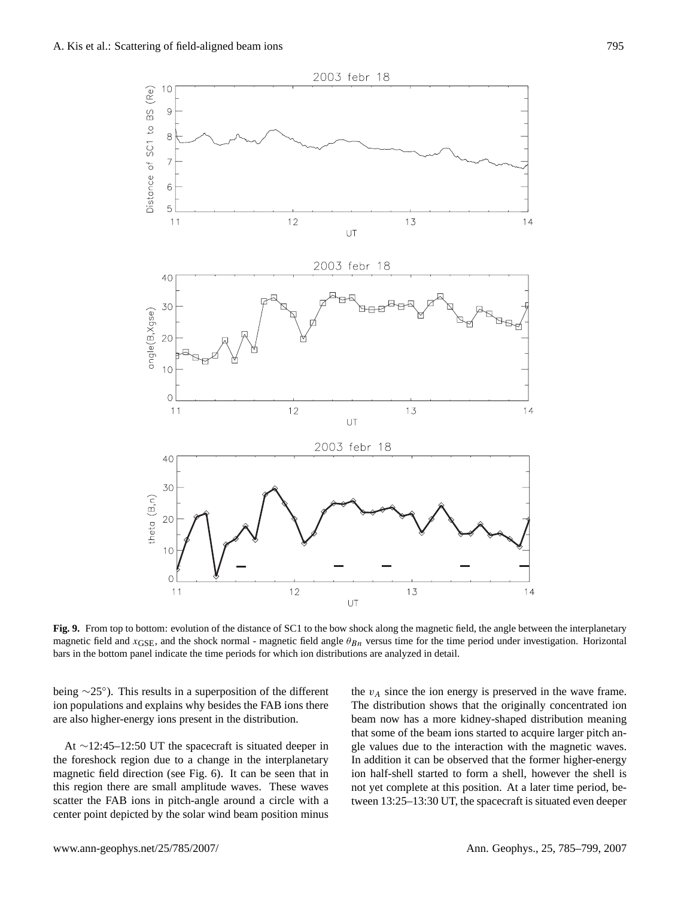

**Fig. 9.** From top to bottom: evolution of the distance of SC1 to the bow shock along the magnetic field, the angle between the interplanetary magnetic field and  $x_{GSE}$ , and the shock normal - magnetic field angle  $\theta_{Bn}$  versus time for the time period under investigation. Horizontal bars in the bottom panel indicate the time periods for which ion distributions are analyzed in detail.

being ∼25◦ ). This results in a superposition of the different ion populations and explains why besides the FAB ions there are also higher-energy ions present in the distribution.

At ∼12:45–12:50 UT the spacecraft is situated deeper in the foreshock region due to a change in the interplanetary magnetic field direction (see Fig. 6). It can be seen that in this region there are small amplitude waves. These waves scatter the FAB ions in pitch-angle around a circle with a center point depicted by the solar wind beam position minus

the  $v_A$  since the ion energy is preserved in the wave frame. The distribution shows that the originally concentrated ion beam now has a more kidney-shaped distribution meaning that some of the beam ions started to acquire larger pitch angle values due to the interaction with the magnetic waves. In addition it can be observed that the former higher-energy ion half-shell started to form a shell, however the shell is not yet complete at this position. At a later time period, between 13:25–13:30 UT, the spacecraft is situated even deeper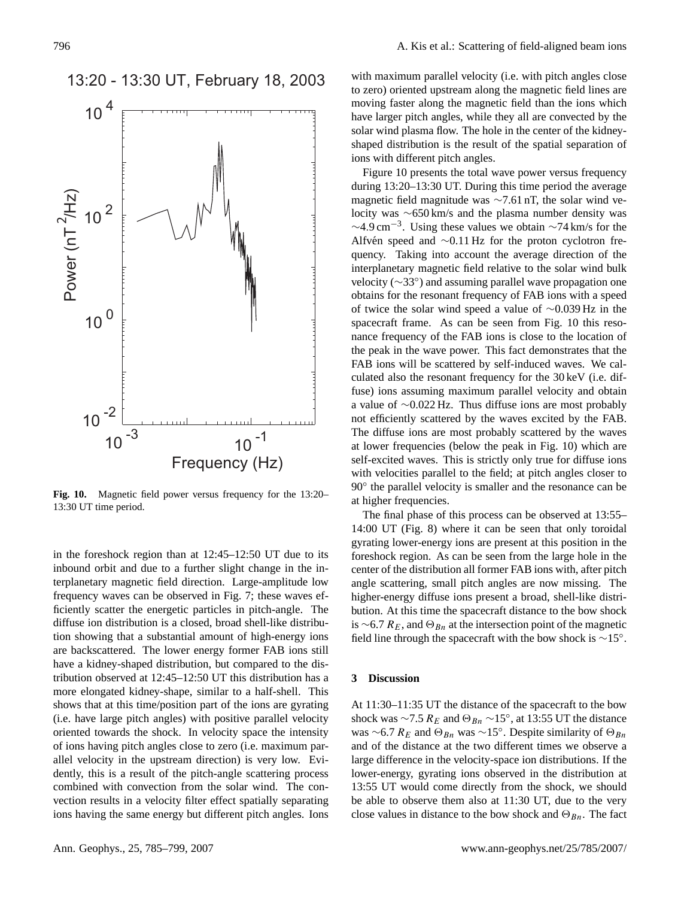13:20 - 13:30 UT, February 18, 2003



**Fig. 10.** Magnetic field power versus frequency for the 13:20– 13:30 UT time period.

in the foreshock region than at 12:45–12:50 UT due to its inbound orbit and due to a further slight change in the interplanetary magnetic field direction. Large-amplitude low frequency waves can be observed in Fig. 7; these waves efficiently scatter the energetic particles in pitch-angle. The diffuse ion distribution is a closed, broad shell-like distribution showing that a substantial amount of high-energy ions are backscattered. The lower energy former FAB ions still have a kidney-shaped distribution, but compared to the distribution observed at 12:45–12:50 UT this distribution has a more elongated kidney-shape, similar to a half-shell. This shows that at this time/position part of the ions are gyrating (i.e. have large pitch angles) with positive parallel velocity oriented towards the shock. In velocity space the intensity of ions having pitch angles close to zero (i.e. maximum parallel velocity in the upstream direction) is very low. Evidently, this is a result of the pitch-angle scattering process combined with convection from the solar wind. The convection results in a velocity filter effect spatially separating ions having the same energy but different pitch angles. Ions

with maximum parallel velocity (i.e. with pitch angles close to zero) oriented upstream along the magnetic field lines are moving faster along the magnetic field than the ions which have larger pitch angles, while they all are convected by the solar wind plasma flow. The hole in the center of the kidneyshaped distribution is the result of the spatial separation of ions with different pitch angles.

Figure 10 presents the total wave power versus frequency during 13:20–13:30 UT. During this time period the average magnetic field magnitude was ∼7.61 nT, the solar wind velocity was ∼650 km/s and the plasma number density was  $\sim$ 4.9 cm<sup>-3</sup>. Using these values we obtain  $\sim$ 74 km/s for the Alfvén speed and  $~\sim$ 0.11 Hz for the proton cyclotron frequency. Taking into account the average direction of the interplanetary magnetic field relative to the solar wind bulk velocity (∼33◦ ) and assuming parallel wave propagation one obtains for the resonant frequency of FAB ions with a speed of twice the solar wind speed a value of ∼0.039 Hz in the spacecraft frame. As can be seen from Fig. 10 this resonance frequency of the FAB ions is close to the location of the peak in the wave power. This fact demonstrates that the FAB ions will be scattered by self-induced waves. We calculated also the resonant frequency for the 30 keV (i.e. diffuse) ions assuming maximum parallel velocity and obtain a value of ∼0.022 Hz. Thus diffuse ions are most probably not efficiently scattered by the waves excited by the FAB. The diffuse ions are most probably scattered by the waves at lower frequencies (below the peak in Fig. 10) which are self-excited waves. This is strictly only true for diffuse ions with velocities parallel to the field; at pitch angles closer to 90° the parallel velocity is smaller and the resonance can be at higher frequencies.

The final phase of this process can be observed at 13:55– 14:00 UT (Fig. 8) where it can be seen that only toroidal gyrating lower-energy ions are present at this position in the foreshock region. As can be seen from the large hole in the center of the distribution all former FAB ions with, after pitch angle scattering, small pitch angles are now missing. The higher-energy diffuse ions present a broad, shell-like distribution. At this time the spacecraft distance to the bow shock is ∼6.7  $R_E$ , and  $\Theta_{Bn}$  at the intersection point of the magnetic field line through the spacecraft with the bow shock is ∼15◦ .

#### **3 Discussion**

At 11:30–11:35 UT the distance of the spacecraft to the bow shock was  $\sim$ 7.5  $R_E$  and  $\Theta_{Bn} \sim 15^\circ$ , at 13:55 UT the distance was ∼6.7  $R_E$  and  $\Theta_{Bn}$  was ∼15°. Despite similarity of  $\Theta_{Bn}$ and of the distance at the two different times we observe a large difference in the velocity-space ion distributions. If the lower-energy, gyrating ions observed in the distribution at 13:55 UT would come directly from the shock, we should be able to observe them also at 11:30 UT, due to the very close values in distance to the bow shock and  $\Theta_{Bn}$ . The fact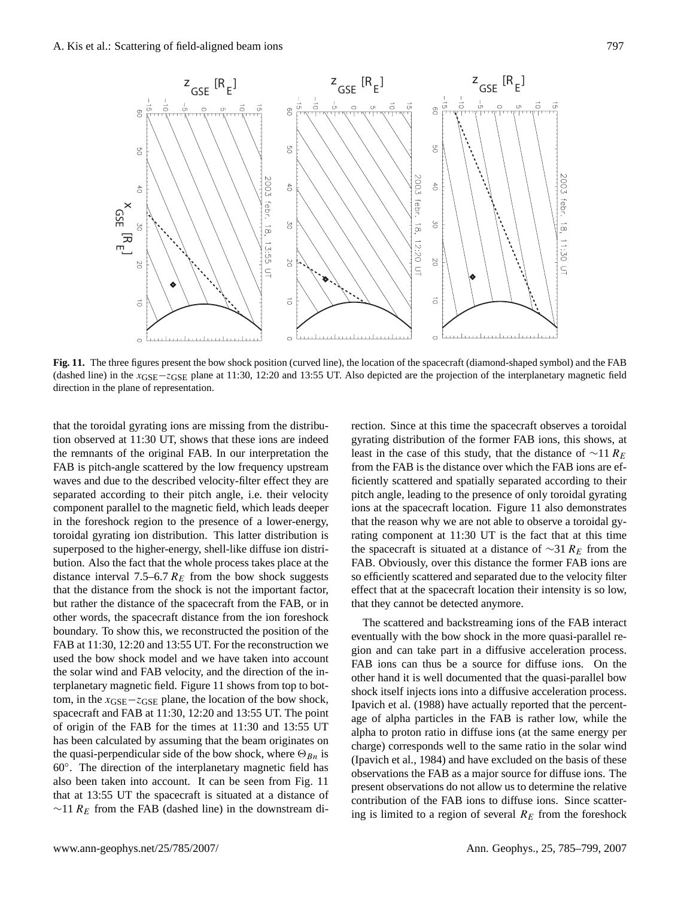

**Fig. 11.** The three figures present the bow shock position (curved line), the location of the spacecraft (diamond-shaped symbol) and the FAB (dashed line) in the  $x<sub>GSE</sub>$  =  $z<sub>GSE</sub>$  plane at 11:30, 12:20 and 13:55 UT. Also depicted are the projection of the interplanetary magnetic field direction in the plane of representation.

that the toroidal gyrating ions are missing from the distribution observed at 11:30 UT, shows that these ions are indeed the remnants of the original FAB. In our interpretation the FAB is pitch-angle scattered by the low frequency upstream waves and due to the described velocity-filter effect they are separated according to their pitch angle, i.e. their velocity component parallel to the magnetic field, which leads deeper in the foreshock region to the presence of a lower-energy, toroidal gyrating ion distribution. This latter distribution is superposed to the higher-energy, shell-like diffuse ion distribution. Also the fact that the whole process takes place at the distance interval 7.5–6.7  $R_E$  from the bow shock suggests that the distance from the shock is not the important factor, but rather the distance of the spacecraft from the FAB, or in other words, the spacecraft distance from the ion foreshock boundary. To show this, we reconstructed the position of the FAB at 11:30, 12:20 and 13:55 UT. For the reconstruction we used the bow shock model and we have taken into account the solar wind and FAB velocity, and the direction of the interplanetary magnetic field. Figure 11 shows from top to bottom, in the  $x_{\text{GSE}}-z_{\text{GSE}}$  plane, the location of the bow shock, spacecraft and FAB at 11:30, 12:20 and 13:55 UT. The point of origin of the FAB for the times at 11:30 and 13:55 UT has been calculated by assuming that the beam originates on the quasi-perpendicular side of the bow shock, where  $\Theta_{Bn}$  is 60◦ . The direction of the interplanetary magnetic field has also been taken into account. It can be seen from Fig. 11 that at 13:55 UT the spacecraft is situated at a distance of  $∼11 R<sub>E</sub>$  from the FAB (dashed line) in the downstream direction. Since at this time the spacecraft observes a toroidal gyrating distribution of the former FAB ions, this shows, at least in the case of this study, that the distance of  $\sim$ 11 R<sub>E</sub> from the FAB is the distance over which the FAB ions are efficiently scattered and spatially separated according to their pitch angle, leading to the presence of only toroidal gyrating ions at the spacecraft location. Figure 11 also demonstrates that the reason why we are not able to observe a toroidal gyrating component at 11:30 UT is the fact that at this time the spacecraft is situated at a distance of  $\sim$ 31 R<sub>E</sub> from the FAB. Obviously, over this distance the former FAB ions are so efficiently scattered and separated due to the velocity filter effect that at the spacecraft location their intensity is so low, that they cannot be detected anymore.

The scattered and backstreaming ions of the FAB interact eventually with the bow shock in the more quasi-parallel region and can take part in a diffusive acceleration process. FAB ions can thus be a source for diffuse ions. On the other hand it is well documented that the quasi-parallel bow shock itself injects ions into a diffusive acceleration process. [Ipavich et al.](#page-13-18) [\(1988\)](#page-13-18) have actually reported that the percentage of alpha particles in the FAB is rather low, while the alpha to proton ratio in diffuse ions (at the same energy per charge) corresponds well to the same ratio in the solar wind [\(Ipavich et al.,](#page-13-19) [1984\)](#page-13-19) and have excluded on the basis of these observations the FAB as a major source for diffuse ions. The present observations do not allow us to determine the relative contribution of the FAB ions to diffuse ions. Since scattering is limited to a region of several  $R_E$  from the foreshock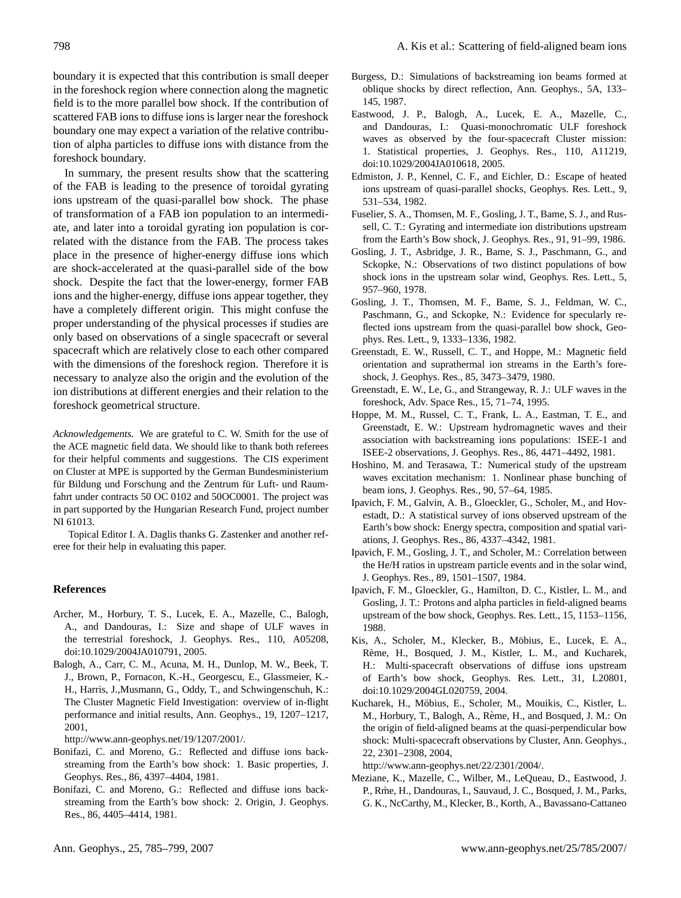boundary it is expected that this contribution is small deeper in the foreshock region where connection along the magnetic field is to the more parallel bow shock. If the contribution of scattered FAB ions to diffuse ions is larger near the foreshock boundary one may expect a variation of the relative contribution of alpha particles to diffuse ions with distance from the foreshock boundary.

In summary, the present results show that the scattering of the FAB is leading to the presence of toroidal gyrating ions upstream of the quasi-parallel bow shock. The phase of transformation of a FAB ion population to an intermediate, and later into a toroidal gyrating ion population is correlated with the distance from the FAB. The process takes place in the presence of higher-energy diffuse ions which are shock-accelerated at the quasi-parallel side of the bow shock. Despite the fact that the lower-energy, former FAB ions and the higher-energy, diffuse ions appear together, they have a completely different origin. This might confuse the proper understanding of the physical processes if studies are only based on observations of a single spacecraft or several spacecraft which are relatively close to each other compared with the dimensions of the foreshock region. Therefore it is necessary to analyze also the origin and the evolution of the ion distributions at different energies and their relation to the foreshock geometrical structure.

*Acknowledgements.* We are grateful to C. W. Smith for the use of the ACE magnetic field data. We should like to thank both referees for their helpful comments and suggestions. The CIS experiment on Cluster at MPE is supported by the German Bundesministerium für Bildung und Forschung and the Zentrum für Luft- und Raumfahrt under contracts 50 OC 0102 and 50OC0001. The project was in part supported by the Hungarian Research Fund, project number NI 61013.

Topical Editor I. A. Daglis thanks G. Zastenker and another referee for their help in evaluating this paper.

#### **References**

- <span id="page-13-12"></span>Archer, M., Horbury, T. S., Lucek, E. A., Mazelle, C., Balogh, A., and Dandouras, I.: Size and shape of ULF waves in the terrestrial foreshock, J. Geophys. Res., 110, A05208, doi:10.1029/2004JA010791, 2005.
- <span id="page-13-13"></span>Balogh, A., Carr, C. M., Acuna, M. H., Dunlop, M. W., Beek, T. J., Brown, P., Fornacon, K.-H., Georgescu, E., Glassmeier, K.- H., Harris, J.,Musmann, G., Oddy, T., and Schwingenschuh, K.: The Cluster Magnetic Field Investigation: overview of in-flight performance and initial results, Ann. Geophys., 19, 1207–1217, 2001,

[http://www.ann-geophys.net/19/1207/2001/.](http://www.ann-geophys.net/19/1207/2001/)

- <span id="page-13-2"></span>Bonifazi, C. and Moreno, G.: Reflected and diffuse ions backstreaming from the Earth's bow shock: 1. Basic properties, J. Geophys. Res., 86, 4397–4404, 1981.
- <span id="page-13-3"></span>Bonifazi, C. and Moreno, G.: Reflected and diffuse ions backstreaming from the Earth's bow shock: 2. Origin, J. Geophys. Res., 86, 4405–4414, 1981.
- <span id="page-13-9"></span>Burgess, D.: Simulations of backstreaming ion beams formed at oblique shocks by direct reflection, Ann. Geophys., 5A, 133– 145, 1987.
- <span id="page-13-16"></span>Eastwood, J. P., Balogh, A., Lucek, E. A., Mazelle, C., and Dandouras, I.: Quasi-monochromatic ULF foreshock waves as observed by the four-spacecraft Cluster mission: 1. Statistical properties, J. Geophys. Res., 110, A11219, doi:10.1029/2004JA010618, 2005.
- <span id="page-13-10"></span>Edmiston, J. P., Kennel, C. F., and Eichler, D.: Escape of heated ions upstream of quasi-parallel shocks, Geophys. Res. Lett., 9, 531–534, 1982.
- <span id="page-13-7"></span>Fuselier, S. A., Thomsen, M. F., Gosling, J. T., Bame, S. J., and Russell, C. T.: Gyrating and intermediate ion distributions upstream from the Earth's Bow shock, J. Geophys. Res., 91, 91–99, 1986.
- <span id="page-13-1"></span>Gosling, J. T., Asbridge, J. R., Bame, S. J., Paschmann, G., and Sckopke, N.: Observations of two distinct populations of bow shock ions in the upstream solar wind, Geophys. Res. Lett., 5, 957–960, 1978.
- <span id="page-13-5"></span>Gosling, J. T., Thomsen, M. F., Bame, S. J., Feldman, W. C., Paschmann, G., and Sckopke, N.: Evidence for specularly reflected ions upstream from the quasi-parallel bow shock, Geophys. Res. Lett., 9, 1333–1336, 1982.
- <span id="page-13-17"></span>Greenstadt, E. W., Russell, C. T., and Hoppe, M.: Magnetic field orientation and suprathermal ion streams in the Earth's foreshock, J. Geophys. Res., 85, 3473–3479, 1980.
- <span id="page-13-4"></span>Greenstadt, E. W., Le, G., and Strangeway, R. J.: ULF waves in the foreshock, Adv. Space Res., 15, 71–74, 1995.
- <span id="page-13-15"></span>Hoppe, M. M., Russel, C. T., Frank, L. A., Eastman, T. E., and Greenstadt, E. W.: Upstream hydromagnetic waves and their association with backstreaming ions populations: ISEE-1 and ISEE-2 observations, J. Geophys. Res., 86, 4471–4492, 1981.
- <span id="page-13-6"></span>Hoshino, M. and Terasawa, T.: Numerical study of the upstream waves excitation mechanism: 1. Nonlinear phase bunching of beam ions, J. Geophys. Res., 90, 57–64, 1985.
- <span id="page-13-0"></span>Ipavich, F. M., Galvin, A. B., Gloeckler, G., Scholer, M., and Hovestadt, D.: A statistical survey of ions observed upstream of the Earth's bow shock: Energy spectra, composition and spatial variations, J. Geophys. Res., 86, 4337–4342, 1981.
- <span id="page-13-19"></span>Ipavich, F. M., Gosling, J. T., and Scholer, M.: Correlation between the He/H ratios in upstream particle events and in the solar wind, J. Geophys. Res., 89, 1501–1507, 1984.
- <span id="page-13-18"></span>Ipavich, F. M., Gloeckler, G., Hamilton, D. C., Kistler, L. M., and Gosling, J. T.: Protons and alpha particles in field-aligned beams upstream of the bow shock, Geophys. Res. Lett., 15, 1153–1156, 1988.
- <span id="page-13-14"></span>Kis, A., Scholer, M., Klecker, B., Möbius, E., Lucek, E. A., Rème, H., Bosqued, J. M., Kistler, L. M., and Kucharek, H.: Multi-spacecraft observations of diffuse ions upstream of Earth's bow shock, Geophys. Res. Lett., 31, L20801, doi:10.1029/2004GL020759, 2004.
- <span id="page-13-11"></span>Kucharek, H., Mobius, E., Scholer, M., Mouikis, C., Kistler, L. ¨ M., Horbury, T., Balogh, A., Rème, H., and Bosqued, J. M.: On the origin of field-aligned beams at the quasi-perpendicular bow shock: Multi-spacecraft observations by Cluster, Ann. Geophys., 22, 2301–2308, 2004,

[http://www.ann-geophys.net/22/2301/2004/.](http://www.ann-geophys.net/22/2301/2004/)

<span id="page-13-8"></span>Meziane, K., Mazelle, C., Wilber, M., LeQueau, D., Eastwood, J. P., Rme, H., Dandouras, I., Sauvaud, J. C., Bosqued, J. M., Parks, G. K., NcCarthy, M., Klecker, B., Korth, A., Bavassano-Cattaneo